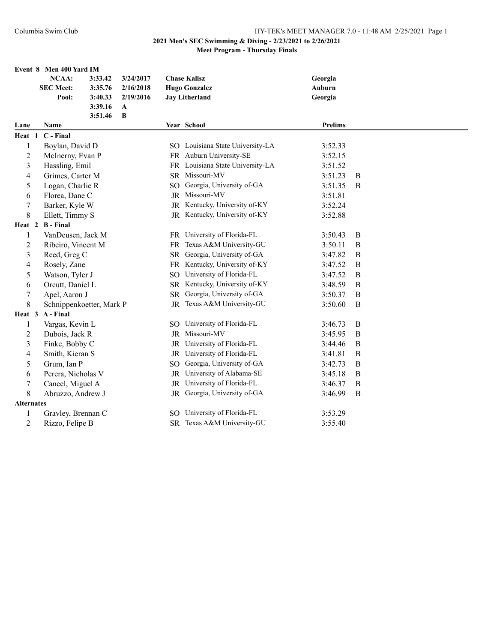|                   |                   | Event 8 Men 400 Yard IM  |         |           |           |                                  |                |          |
|-------------------|-------------------|--------------------------|---------|-----------|-----------|----------------------------------|----------------|----------|
|                   |                   | NCAA:                    | 3:33.42 | 3/24/2017 |           | <b>Chase Kalisz</b>              | Georgia        |          |
|                   |                   | <b>SEC Meet:</b>         | 3:35.76 | 2/16/2018 |           | <b>Hugo Gonzalez</b>             | Auburn         |          |
|                   |                   | Pool:                    | 3:40.33 | 2/19/2016 |           | <b>Jay Litherland</b>            | Georgia        |          |
|                   |                   |                          | 3:39.16 | A         |           |                                  |                |          |
|                   |                   |                          | 3:51.46 | B         |           |                                  |                |          |
| Lane              |                   | Name                     |         |           |           | Year School                      | <b>Prelims</b> |          |
| Heat 1            |                   | C - Final                |         |           |           |                                  |                |          |
| 1                 |                   | Boylan, David D          |         |           |           | SO Louisiana State University-LA | 3:52.33        |          |
| $\overline{2}$    |                   | McInerny, Evan P         |         |           |           | FR Auburn University-SE          | 3:52.15        |          |
| $\mathfrak{Z}$    |                   | Hassling, Emil           |         |           |           | FR Louisiana State University-LA | 3:51.52        |          |
| 4                 |                   | Grimes, Carter M         |         |           |           | SR Missouri-MV                   | 3:51.23        | B        |
| 5                 |                   | Logan, Charlie R         |         |           | SO.       | Georgia, University of-GA        | 3:51.35        | B        |
| 6                 |                   | Florea, Dane C           |         |           |           | JR Missouri-MV                   | 3:51.81        |          |
| $\boldsymbol{7}$  |                   | Barker, Kyle W           |         |           |           | JR Kentucky, University of-KY    | 3:52.24        |          |
| 8                 |                   | Ellett, Timmy S          |         |           |           | JR Kentucky, University of-KY    | 3:52.88        |          |
| Heat 2            |                   | <b>B</b> - Final         |         |           |           |                                  |                |          |
| 1                 |                   | VanDeusen, Jack M        |         |           |           | FR University of Florida-FL      | 3:50.43        | B        |
| $\overline{c}$    |                   | Ribeiro, Vincent M       |         |           |           | FR Texas A&M University-GU       | 3:50.11        | B        |
| $\mathfrak{Z}$    |                   | Reed, Greg C             |         |           |           | SR Georgia, University of-GA     | 3:47.82        | $\bf{B}$ |
| 4                 |                   | Rosely, Zane             |         |           |           | FR Kentucky, University of-KY    | 3:47.52        | B        |
| 5                 |                   | Watson, Tyler J          |         |           | SO.       | University of Florida-FL         | 3:47.52        | B        |
| 6                 |                   | Orcutt, Daniel L         |         |           | <b>SR</b> | Kentucky, University of-KY       | 3:48.59        | B        |
| $\tau$            |                   | Apel, Aaron J            |         |           | <b>SR</b> | Georgia, University of-GA        | 3:50.37        | B        |
| 8                 |                   | Schnippenkoetter, Mark P |         |           |           | JR Texas A&M University-GU       | 3:50.60        | B        |
| Heat 3            |                   | A - Final                |         |           |           |                                  |                |          |
| 1                 |                   | Vargas, Kevin L          |         |           |           | SO University of Florida-FL      | 3:46.73        | B        |
| $\overline{c}$    |                   | Dubois, Jack R           |         |           |           | JR Missouri-MV                   | 3:45.95        | B        |
| 3                 |                   | Finke, Bobby C           |         |           |           | JR University of Florida-FL      | 3:44.46        | B        |
| 4                 |                   | Smith, Kieran S          |         |           |           | JR University of Florida-FL      | 3:41.81        | $\bf{B}$ |
| 5                 |                   | Grum, Ian P              |         |           | SO.       | Georgia, University of-GA        | 3:42.73        | B        |
| 6                 |                   | Perera, Nicholas V       |         |           |           | JR University of Alabama-SE      | 3:45.18        | B        |
| $\boldsymbol{7}$  |                   | Cancel, Miguel A         |         |           |           | JR University of Florida-FL      | 3:46.37        | B        |
| 8                 | Abruzzo, Andrew J |                          |         |           |           | JR Georgia, University of-GA     | 3:46.99        | B        |
| <b>Alternates</b> |                   |                          |         |           |           |                                  |                |          |
| $\mathbf{1}$      |                   | Gravley, Brennan C       |         |           | SO.       | University of Florida-FL         | 3:53.29        |          |
| $\overline{2}$    |                   | Rizzo, Felipe B          |         |           |           | SR Texas A&M University-GU       | 3:55.40        |          |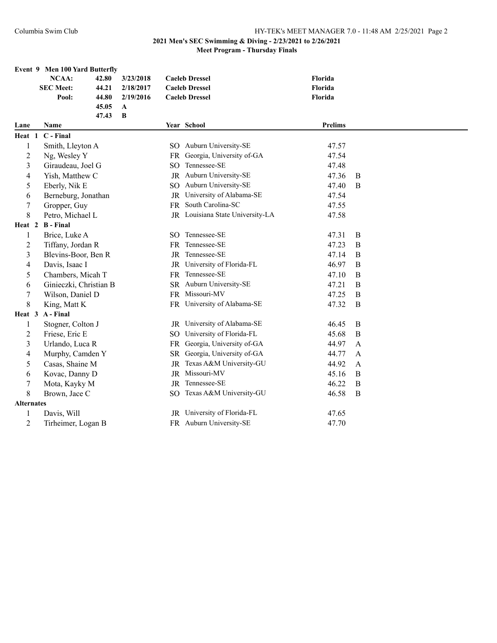|                   |               | Event 9 Men 100 Yard Butterfly |           |     |                                  |                |                  |
|-------------------|---------------|--------------------------------|-----------|-----|----------------------------------|----------------|------------------|
|                   |               | <b>NCAA:</b><br>42.80          | 3/23/2018 |     | <b>Caeleb Dressel</b>            | Florida        |                  |
|                   |               | <b>SEC Meet:</b><br>44.21      | 2/18/2017 |     | <b>Caeleb Dressel</b>            | Florida        |                  |
|                   |               | Pool:<br>44.80                 | 2/19/2016 |     | <b>Caeleb Dressel</b>            | Florida        |                  |
|                   |               | 45.05                          | A<br>B    |     |                                  |                |                  |
| Lane              |               | 47.43<br>Name                  |           |     | Year School                      | <b>Prelims</b> |                  |
| Heat 1            |               | C - Final                      |           |     |                                  |                |                  |
| $\mathbf{1}$      |               | Smith, Lleyton A               |           |     | SO Auburn University-SE          | 47.57          |                  |
| $\overline{c}$    |               | Ng, Wesley Y                   |           | FR  | Georgia, University of-GA        | 47.54          |                  |
| 3                 |               | Giraudeau, Joel G              |           | SO. | Tennessee-SE                     | 47.48          |                  |
| 4                 |               | Yish, Matthew C                |           |     | JR Auburn University-SE          | 47.36          | B                |
| 5                 |               | Eberly, Nik E                  |           | SO. | Auburn University-SE             | 47.40          | B                |
| 6                 |               | Berneburg, Jonathan            |           | JR  | University of Alabama-SE         | 47.54          |                  |
| $\overline{7}$    |               | Gropper, Guy                   |           | FR  | South Carolina-SC                | 47.55          |                  |
| 8                 |               | Petro, Michael L               |           |     | JR Louisiana State University-LA | 47.58          |                  |
| Heat 2            |               | <b>B</b> - Final               |           |     |                                  |                |                  |
| 1                 |               | Brice, Luke A                  |           |     | SO Tennessee-SE                  | 47.31          | B                |
| $\overline{c}$    |               | Tiffany, Jordan R              |           |     | FR Tennessee-SE                  | 47.23          | B                |
| 3                 |               | Blevins-Boor, Ben R            |           |     | JR Tennessee-SE                  | 47.14          | B                |
| 4                 |               | Davis, Isaac I                 |           | JR  | University of Florida-FL         | 46.97          | $\boldsymbol{B}$ |
| 5                 |               | Chambers, Micah T              |           | FR  | Tennessee-SE                     | 47.10          | $\boldsymbol{B}$ |
| 6                 |               | Ginieczki, Christian B         |           |     | SR Auburn University-SE          | 47.21          | B                |
| $\boldsymbol{7}$  |               | Wilson, Daniel D               |           |     | FR Missouri-MV                   | 47.25          | B                |
| 8                 |               | King, Matt K                   |           |     | FR University of Alabama-SE      | 47.32          | $\bf{B}$         |
| Heat 3            |               | A - Final                      |           |     |                                  |                |                  |
| 1                 |               | Stogner, Colton J              |           |     | JR University of Alabama-SE      | 46.45          | $\bf{B}$         |
| $\overline{c}$    |               | Friese, Eric E                 |           |     | SO University of Florida-FL      | 45.68          | $\boldsymbol{B}$ |
| 3                 |               | Urlando, Luca R                |           |     | FR Georgia, University of-GA     | 44.97          | A                |
| 4                 |               | Murphy, Camden Y               |           |     | SR Georgia, University of-GA     | 44.77          | A                |
| 5                 |               | Casas, Shaine M                |           | JR  | Texas A&M University-GU          | 44.92          | $\mathbf{A}$     |
| 6                 |               | Kovac, Danny D                 |           |     | JR Missouri-MV                   | 45.16          | $\mathbf B$      |
| 7                 |               | Mota, Kayky M                  |           |     | JR Tennessee-SE                  | 46.22          | $\mathbf B$      |
| $\,8\,$           | Brown, Jace C |                                |           |     | SO Texas A&M University-GU       | 46.58          | $\bf{B}$         |
| <b>Alternates</b> |               |                                |           |     |                                  |                |                  |
| 1                 |               | Davis, Will                    |           | JR  | University of Florida-FL         | 47.65          |                  |
| $\overline{2}$    |               | Tirheimer, Logan B             |           |     | FR Auburn University-SE          | 47.70          |                  |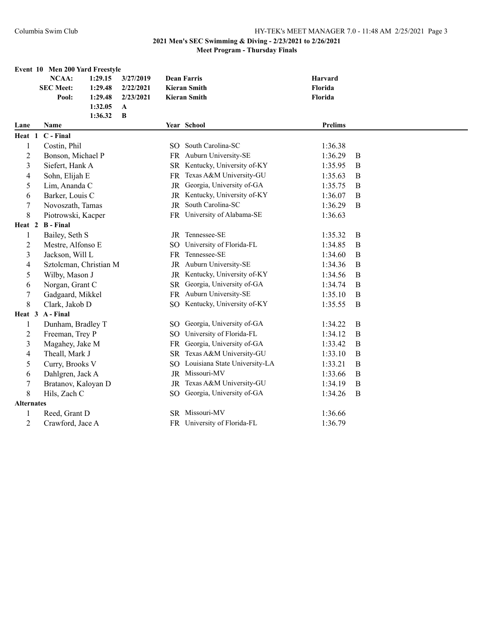|                   | Event 10 Men 200 Yard Freestyle |         |           |                 |                               |                |          |
|-------------------|---------------------------------|---------|-----------|-----------------|-------------------------------|----------------|----------|
|                   | <b>NCAA:</b>                    | 1:29.15 | 3/27/2019 |                 | <b>Dean Farris</b>            | <b>Harvard</b> |          |
|                   | <b>SEC Meet:</b>                | 1:29.48 | 2/22/2021 |                 | <b>Kieran Smith</b>           | Florida        |          |
|                   | Pool:                           | 1:29.48 | 2/23/2021 |                 | <b>Kieran Smith</b>           | Florida        |          |
|                   |                                 | 1:32.05 | A         |                 |                               |                |          |
|                   |                                 | 1:36.32 | B         |                 |                               |                |          |
| Lane              | Name                            |         |           |                 | Year School                   | <b>Prelims</b> |          |
| Heat 1            | C - Final                       |         |           |                 |                               |                |          |
| 1                 | Costin, Phil                    |         |           |                 | SO South Carolina-SC          | 1:36.38        |          |
| $\overline{c}$    | Bonson, Michael P               |         |           |                 | FR Auburn University-SE       | 1:36.29        | B        |
| 3                 | Siefert, Hank A                 |         |           |                 | SR Kentucky, University of-KY | 1:35.95        | $\bf{B}$ |
| 4                 | Sohn, Elijah E                  |         |           | <b>FR</b>       | Texas A&M University-GU       | 1:35.63        | $\bf{B}$ |
| 5                 | Lim, Ananda C                   |         |           | JR              | Georgia, University of-GA     | 1:35.75        | B        |
| 6                 | Barker, Louis C                 |         |           | JR              | Kentucky, University of-KY    | 1:36.07        | $\bf{B}$ |
| 7                 | Novoszath, Tamas                |         |           | JR              | South Carolina-SC             | 1:36.29        | B        |
| 8                 | Piotrowski, Kacper              |         |           |                 | FR University of Alabama-SE   | 1:36.63        |          |
| Heat 2            | <b>B</b> - Final                |         |           |                 |                               |                |          |
| 1                 | Bailey, Seth S                  |         |           |                 | JR Tennessee-SE               | 1:35.32        | $\bf{B}$ |
| 2                 | Mestre, Alfonso E               |         |           |                 | SO University of Florida-FL   | 1:34.85        | B        |
| 3                 | Jackson, Will L                 |         |           |                 | FR Tennessee-SE               | 1:34.60        | B        |
| 4                 | Sztolcman, Christian M          |         |           |                 | JR Auburn University-SE       | 1:34.36        | $\bf{B}$ |
| 5                 | Wilby, Mason J                  |         |           |                 | JR Kentucky, University of-KY | 1:34.56        | $\bf{B}$ |
| 6                 | Norgan, Grant C                 |         |           | <b>SR</b>       | Georgia, University of-GA     | 1:34.74        | B        |
| 7                 | Gadgaard, Mikkel                |         |           | <b>FR</b>       | Auburn University-SE          | 1:35.10        | B        |
| 8                 | Clark, Jakob D                  |         |           |                 | SO Kentucky, University of-KY | 1:35.55        | B        |
| Heat 3            | A - Final                       |         |           |                 |                               |                |          |
| $\mathbf{1}$      | Dunham, Bradley T               |         |           |                 | SO Georgia, University of-GA  | 1:34.22        | B        |
| $\overline{c}$    | Freeman, Trey P                 |         |           | SO <sub>1</sub> | University of Florida-FL      | 1:34.12        | B        |
| 3                 | Magahey, Jake M                 |         |           | <b>FR</b>       | Georgia, University of-GA     | 1:33.42        | B        |
| 4                 | Theall, Mark J                  |         |           |                 | SR Texas A&M University-GU    | 1:33.10        | $\bf{B}$ |
| 5                 | Curry, Brooks V                 |         |           | SO.             | Louisiana State University-LA | 1:33.21        | B        |
| 6                 | Dahlgren, Jack A                |         |           |                 | JR Missouri-MV                | 1:33.66        | B        |
| 7                 | Bratanov, Kaloyan D             |         |           | JR              | Texas A&M University-GU       | 1:34.19        | B        |
| 8                 | Hils, Zach C                    |         |           |                 | SO Georgia, University of-GA  | 1:34.26        | $\bf{B}$ |
| <b>Alternates</b> |                                 |         |           |                 |                               |                |          |
| 1                 | Reed, Grant D                   |         |           |                 | SR Missouri-MV                | 1:36.66        |          |
| $\mathbf{2}$      | Crawford, Jace A                |         |           |                 | FR University of Florida-FL   | 1:36.79        |          |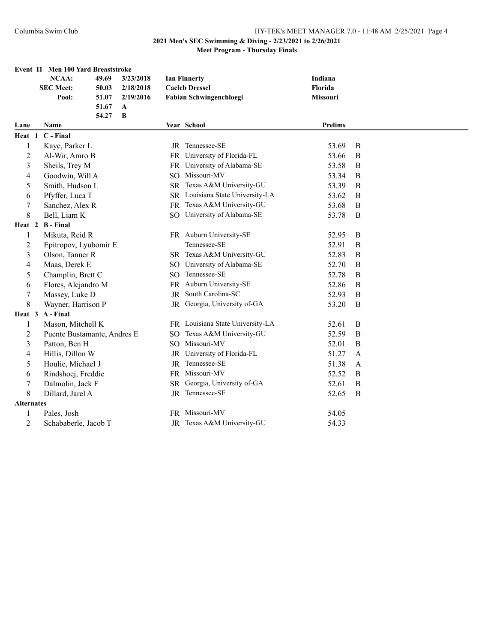|                   |                  | Event 11 Men 100 Yard Breaststroke |       |              |     |                                  |                |              |
|-------------------|------------------|------------------------------------|-------|--------------|-----|----------------------------------|----------------|--------------|
|                   |                  | NCAA:                              | 49.69 | 3/23/2018    |     | <b>Ian Finnerty</b>              | Indiana        |              |
|                   |                  | <b>SEC Meet:</b>                   | 50.03 | 2/18/2018    |     | <b>Caeleb Dressel</b>            | Florida        |              |
|                   |                  | Pool:                              | 51.07 | 2/19/2016    |     | <b>Fabian Schwingenchloegl</b>   | Missouri       |              |
|                   |                  |                                    | 51.67 | A            |     |                                  |                |              |
|                   |                  |                                    | 54.27 | $\, {\bf B}$ |     |                                  |                |              |
| Lane              |                  | <b>Name</b>                        |       |              |     | Year School                      | <b>Prelims</b> |              |
| Heat 1            |                  | C - Final                          |       |              |     |                                  |                |              |
| 1                 |                  | Kaye, Parker L                     |       |              |     | JR Tennessee-SE                  | 53.69          | B            |
| 2                 |                  | Al-Wir, Amro B                     |       |              |     | FR University of Florida-FL      | 53.66          | B            |
| 3                 |                  | Sheils, Trey M                     |       |              |     | FR University of Alabama-SE      | 53.58          | B            |
| 4                 |                  | Goodwin, Will A                    |       |              |     | SO Missouri-MV                   | 53.34          | B            |
| 5                 |                  | Smith, Hudson L                    |       |              |     | SR Texas A&M University-GU       | 53.39          | B            |
| 6                 |                  | Pfyffer, Luca T                    |       |              |     | SR Louisiana State University-LA | 53.62          | B            |
| 7                 |                  | Sanchez, Alex R                    |       |              |     | FR Texas A&M University-GU       | 53.68          | $\bf{B}$     |
| 8                 |                  | Bell, Liam K                       |       |              |     | SO University of Alabama-SE      | 53.78          | B            |
| Heat 2            |                  | <b>B</b> - Final                   |       |              |     |                                  |                |              |
| 1                 |                  | Mikuta, Reid R                     |       |              |     | FR Auburn University-SE          | 52.95          | B            |
| 2                 |                  | Epitropov, Lyubomir E              |       |              |     | Tennessee-SE                     | 52.91          | $\bf{B}$     |
| 3                 |                  | Olson, Tanner R                    |       |              |     | SR Texas A&M University-GU       | 52.83          | B            |
| 4                 |                  | Maas, Derek E                      |       |              |     | SO University of Alabama-SE      | 52.70          | $\bf{B}$     |
| 5                 |                  | Champlin, Brett C                  |       |              |     | SO Tennessee-SE                  | 52.78          | $\bf{B}$     |
| 6                 |                  | Flores, Alejandro M                |       |              |     | FR Auburn University-SE          | 52.86          | $\bf{B}$     |
| 7                 |                  | Massey, Luke D                     |       |              | JR  | South Carolina-SC                | 52.93          | $\bf{B}$     |
| 8                 |                  | Wayner, Harrison P                 |       |              |     | JR Georgia, University of-GA     | 53.20          | B            |
| Heat 3            |                  | A - Final                          |       |              |     |                                  |                |              |
| 1                 |                  | Mason, Mitchell K                  |       |              |     | FR Louisiana State University-LA | 52.61          | B            |
| $\overline{c}$    |                  | Puente Bustamante, Andres E        |       |              | SO. | Texas A&M University-GU          | 52.59          | B            |
| 3                 |                  | Patton, Ben H                      |       |              |     | SO Missouri-MV                   | 52.01          | B            |
| 4                 |                  | Hillis, Dillon W                   |       |              |     | JR University of Florida-FL      | 51.27          | A            |
| 5                 |                  | Houlie, Michael J                  |       |              |     | JR Tennessee-SE                  | 51.38          | A            |
| 6                 |                  | Rindshoej, Freddie                 |       |              |     | FR Missouri-MV                   | 52.52          | B            |
| 7                 |                  | Dalmolin, Jack F                   |       |              | SR. | Georgia, University of-GA        | 52.61          | $\, {\bf B}$ |
| $\,$ 8 $\,$       | Dillard, Jarel A |                                    |       |              |     | JR Tennessee-SE                  | 52.65          | $\bf{B}$     |
| <b>Alternates</b> |                  |                                    |       |              |     |                                  |                |              |
| 1                 |                  | Pales, Josh                        |       |              |     | FR Missouri-MV                   | 54.05          |              |
| 2                 |                  | Schababerle, Jacob T               |       |              |     | JR Texas A&M University-GU       | 54.33          |              |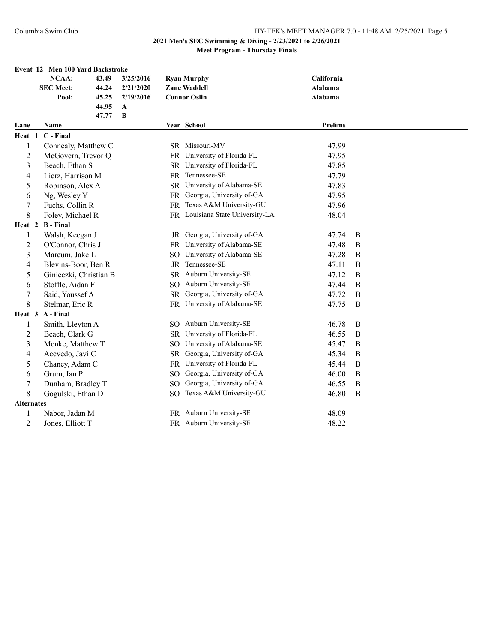|                          | Event 12 Men 100 Yard Backstroke |       |           |                 |                                  |            |             |
|--------------------------|----------------------------------|-------|-----------|-----------------|----------------------------------|------------|-------------|
|                          | <b>NCAA:</b>                     | 43.49 | 3/25/2016 |                 | <b>Ryan Murphy</b>               | California |             |
|                          | <b>SEC Meet:</b>                 | 44.24 | 2/21/2020 |                 | <b>Zane Waddell</b>              | Alabama    |             |
|                          | Pool:                            | 45.25 | 2/19/2016 |                 | <b>Connor Oslin</b>              | Alabama    |             |
|                          |                                  | 44.95 | A         |                 |                                  |            |             |
|                          |                                  | 47.77 | B         |                 |                                  |            |             |
| Lane                     | Name                             |       |           |                 | Year School                      | Prelims    |             |
| Heat 1                   | C - Final                        |       |           |                 |                                  |            |             |
| $\mathbf{1}$             | Connealy, Matthew C              |       |           |                 | SR Missouri-MV                   | 47.99      |             |
| $\mathbf{2}$             | McGovern, Trevor Q               |       |           |                 | FR University of Florida-FL      | 47.95      |             |
| 3                        | Beach, Ethan S                   |       |           |                 | SR University of Florida-FL      | 47.85      |             |
| 4                        | Lierz, Harrison M                |       |           | <b>FR</b>       | Tennessee-SE                     | 47.79      |             |
| 5                        | Robinson, Alex A                 |       |           |                 | SR University of Alabama-SE      | 47.83      |             |
| 6                        | Ng, Wesley Y                     |       |           |                 | FR Georgia, University of-GA     | 47.95      |             |
| 7                        | Fuchs, Collin R                  |       |           |                 | FR Texas A&M University-GU       | 47.96      |             |
| 8                        | Foley, Michael R                 |       |           |                 | FR Louisiana State University-LA | 48.04      |             |
| Heat 2                   | <b>B</b> - Final                 |       |           |                 |                                  |            |             |
| 1                        | Walsh, Keegan J                  |       |           |                 | JR Georgia, University of-GA     | 47.74      | B           |
| $\mathbf{2}$             | O'Connor, Chris J                |       |           |                 | FR University of Alabama-SE      | 47.48      | B           |
| 3                        | Marcum, Jake L                   |       |           | SO              | University of Alabama-SE         | 47.28      | B           |
| $\overline{\mathcal{L}}$ | Blevins-Boor, Ben R              |       |           | <b>JR</b>       | Tennessee-SE                     | 47.11      | B           |
| 5                        | Ginieczki, Christian B           |       |           |                 | SR Auburn University-SE          | 47.12      | B           |
| 6                        | Stoffle, Aidan F                 |       |           | SO.             | Auburn University-SE             | 47.44      | B           |
| $\sqrt{ }$               | Said, Youssef A                  |       |           | <b>SR</b>       | Georgia, University of-GA        | 47.72      | B           |
| 8                        | Stelmar, Eric R                  |       |           |                 | FR University of Alabama-SE      | 47.75      | $\bf{B}$    |
| Heat 3                   | A - Final                        |       |           |                 |                                  |            |             |
| $\mathbf{1}$             | Smith, Lleyton A                 |       |           |                 | SO Auburn University-SE          | 46.78      | B           |
| $\overline{c}$           | Beach, Clark G                   |       |           |                 | SR University of Florida-FL      | 46.55      | B           |
| 3                        | Menke, Matthew T                 |       |           | SO.             | University of Alabama-SE         | 45.47      | B           |
| 4                        | Acevedo, Javi C                  |       |           | <b>SR</b>       | Georgia, University of-GA        | 45.34      | $\mathbf B$ |
| 5                        | Chaney, Adam C                   |       |           | <b>FR</b>       | University of Florida-FL         | 45.44      | $\mathbf B$ |
| 6                        | Grum, Ian P                      |       |           | SO.             | Georgia, University of-GA        | 46.00      | B           |
| $\tau$                   | Dunham, Bradley T                |       |           | SO <sub>1</sub> | Georgia, University of-GA        | 46.55      | $\bf{B}$    |
| 8                        | Gogulski, Ethan D                |       |           | SO <sub>1</sub> | Texas A&M University-GU          | 46.80      | $\mathbf B$ |
| <b>Alternates</b>        |                                  |       |           |                 |                                  |            |             |
| $\mathbf{1}$             | Nabor, Jadan M                   |       |           |                 | FR Auburn University-SE          | 48.09      |             |
| 2                        | Jones, Elliott T                 |       |           |                 | FR Auburn University-SE          | 48.22      |             |